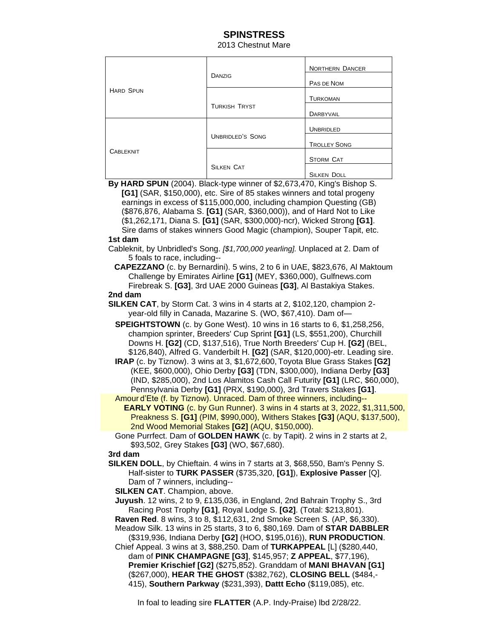# **SPINSTRESS**

#### 2013 Chestnut Mare

| <b>HARD SPUN</b> | DANZIG                  | <b>NORTHERN DANCER</b> |
|------------------|-------------------------|------------------------|
|                  |                         | PAS DE NOM             |
|                  |                         | <b>TURKOMAN</b>        |
|                  | <b>TURKISH TRYST</b>    | DARBYVAIL              |
| <b>CABLEKNIT</b> | <b>UNBRIDLED'S SONG</b> | <b>UNBRIDLED</b>       |
|                  |                         | <b>TROLLEY SONG</b>    |
|                  | <b>SILKEN CAT</b>       | <b>STORM CAT</b>       |
|                  |                         | <b>SILKEN DOLL</b>     |

 **By HARD SPUN** (2004). Black-type winner of \$2,673,470, King's Bishop S.  **[G1]** (SAR, \$150,000), etc. Sire of 85 stakes winners and total progeny earnings in excess of \$115,000,000, including champion Questing (GB) (\$876,876, Alabama S. **[G1]** (SAR, \$360,000)), and of Hard Not to Like (\$1,262,171, Diana S. **[G1]** (SAR, \$300,000)-ncr), Wicked Strong **[G1]**. Sire dams of stakes winners Good Magic (champion), Souper Tapit, etc.

#### **1st dam**

 Cableknit, by Unbridled's Song. *[\$1,700,000 yearling].* Unplaced at 2. Dam of 5 foals to race, including--

**CAPEZZANO** (c. by Bernardini). 5 wins, 2 to 6 in UAE, \$823,676, Al Maktoum Challenge by Emirates Airline **[G1]** (MEY, \$360,000), Gulfnews.com Firebreak S. **[G3]**, 3rd UAE 2000 Guineas **[G3]**, Al Bastakiya Stakes.

### **2nd dam**

- **SILKEN CAT**, by Storm Cat. 3 wins in 4 starts at 2, \$102,120, champion 2 year-old filly in Canada, Mazarine S. (WO, \$67,410). Dam of—
	- **SPEIGHTSTOWN** (c. by Gone West). 10 wins in 16 starts to 6, \$1,258,256, champion sprinter, Breeders' Cup Sprint **[G1]** (LS, \$551,200), Churchill Downs H. **[G2]** (CD, \$137,516), True North Breeders' Cup H. **[G2]** (BEL, \$126,840), Alfred G. Vanderbilt H. **[G2]** (SAR, \$120,000)-etr. Leading sire.
	- **IRAP** (c. by Tiznow). 3 wins at 3, \$1,672,600, Toyota Blue Grass Stakes **[G2]** (KEE, \$600,000), Ohio Derby **[G3]** (TDN, \$300,000), Indiana Derby **[G3]** (IND, \$285,000), 2nd Los Alamitos Cash Call Futurity **[G1]** (LRC, \$60,000), Pennsylvania Derby **[G1]** (PRX, \$190,000), 3rd Travers Stakes **[G1]**.

 Amour d'Ete (f. by Tiznow). Unraced. Dam of three winners, including-- **EARLY VOTING** (c. by Gun Runner). 3 wins in 4 starts at 3, 2022, \$1,311,500, Preakness S. **[G1]** (PIM, \$990,000), Withers Stakes **[G3]** (AQU, \$137,500), 2nd Wood Memorial Stakes **[G2]** (AQU, \$150,000).

Gone Purrfect. Dam of **GOLDEN HAWK** (c. by Tapit). 2 wins in 2 starts at 2, \$93,502, Grey Stakes **[G3]** (WO, \$67,680).

 **3rd dam**

 **SILKEN DOLL**, by Chieftain. 4 wins in 7 starts at 3, \$68,550, Bam's Penny S. Half-sister to **TURK PASSER** (\$735,320, **[G1]**), **Explosive Passer** [Q]. Dam of 7 winners, including--

 **SILKEN CAT**. Champion, above.

 **Juyush**. 12 wins, 2 to 9, £135,036, in England, 2nd Bahrain Trophy S., 3rd Racing Post Trophy **[G1]**, Royal Lodge S. **[G2]**. (Total: \$213,801).

 **Raven Red**. 8 wins, 3 to 8, \$112,631, 2nd Smoke Screen S. (AP, \$6,330).

 Meadow Silk. 13 wins in 25 starts, 3 to 6, \$80,169. Dam of **STAR DABBLER** (\$319,936, Indiana Derby **[G2]** (HOO, \$195,016)), **RUN PRODUCTION**.

Chief Appeal. 3 wins at 3, \$88,250. Dam of **TURKAPPEAL** [L] (\$280,440,

 dam of **PINK CHAMPAGNE [G3]**, \$145,957; **Z APPEAL**, \$77,196), **Premier Krischief [G2]** (\$275,852). Granddam of **MANI BHAVAN [G1]** (\$267,000), **HEAR THE GHOST** (\$382,762), **CLOSING BELL** (\$484,- 415), **Southern Parkway** (\$231,393), **Dattt Echo** (\$119,085), etc.